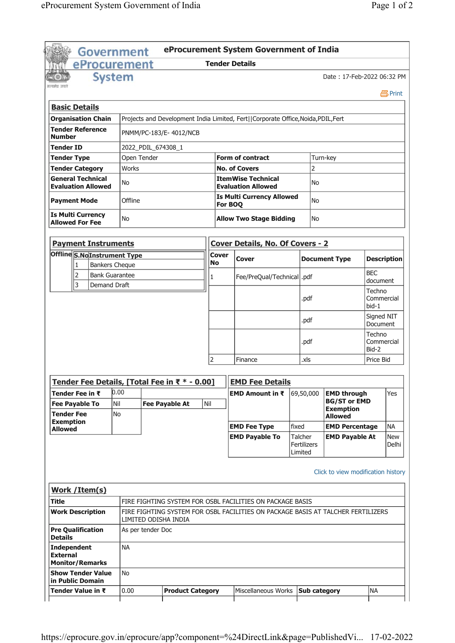|                                                                       | <b>Government</b>                                     |                       |                                                                                                          |  |                                               |                    |                                     | eProcurement System Government of India                                           |                      |                    |                                                               |                               |                     |  |
|-----------------------------------------------------------------------|-------------------------------------------------------|-----------------------|----------------------------------------------------------------------------------------------------------|--|-----------------------------------------------|--------------------|-------------------------------------|-----------------------------------------------------------------------------------|----------------------|--------------------|---------------------------------------------------------------|-------------------------------|---------------------|--|
|                                                                       | eProcurement                                          |                       |                                                                                                          |  |                                               |                    |                                     | <b>Tender Details</b>                                                             |                      |                    |                                                               |                               |                     |  |
|                                                                       |                                                       | <b>System</b>         |                                                                                                          |  |                                               |                    |                                     |                                                                                   |                      |                    | Date: 17-Feb-2022 06:32 PM                                    |                               |                     |  |
|                                                                       |                                                       |                       |                                                                                                          |  |                                               |                    |                                     |                                                                                   |                      |                    |                                                               |                               | 昌Print              |  |
|                                                                       | <b>Basic Details</b>                                  |                       |                                                                                                          |  |                                               |                    |                                     |                                                                                   |                      |                    |                                                               |                               |                     |  |
|                                                                       | <b>Organisation Chain</b>                             |                       |                                                                                                          |  |                                               |                    |                                     | Projects and Development India Limited, Fert  Corporate Office, Noida, PDIL, Fert |                      |                    |                                                               |                               |                     |  |
| <b>Number</b>                                                         | <b>Tender Reference</b>                               |                       |                                                                                                          |  | PNMM/PC-183/E-4012/NCB                        |                    |                                     |                                                                                   |                      |                    |                                                               |                               |                     |  |
| Tender ID                                                             |                                                       |                       | 2022_PDIL_674308_1                                                                                       |  |                                               |                    |                                     |                                                                                   |                      |                    |                                                               |                               |                     |  |
| <b>Tender Type</b>                                                    |                                                       |                       | Open Tender                                                                                              |  |                                               |                    | <b>Form of contract</b><br>Turn-key |                                                                                   |                      |                    |                                                               |                               |                     |  |
|                                                                       | <b>Tender Category</b>                                |                       | Works                                                                                                    |  |                                               |                    |                                     | <b>No. of Covers</b>                                                              |                      | $\overline{2}$     |                                                               |                               |                     |  |
|                                                                       | <b>General Technical</b><br><b>Evaluation Allowed</b> |                       | No                                                                                                       |  |                                               |                    |                                     | <b>ItemWise Technical</b><br><b>Evaluation Allowed</b>                            |                      | No                 |                                                               |                               |                     |  |
|                                                                       | <b>Payment Mode</b>                                   |                       | Offline                                                                                                  |  |                                               |                    |                                     | <b>Is Multi Currency Allowed</b>                                                  |                      | No                 |                                                               |                               |                     |  |
|                                                                       | <b>Is Multi Currency</b>                              |                       | <b>No</b>                                                                                                |  |                                               | For BOQ            |                                     | <b>Allow Two Stage Bidding</b>                                                    |                      | No                 |                                                               |                               |                     |  |
|                                                                       | <b>Allowed For Fee</b>                                |                       |                                                                                                          |  |                                               |                    |                                     |                                                                                   |                      |                    |                                                               |                               |                     |  |
|                                                                       | <b>Payment Instruments</b>                            |                       |                                                                                                          |  |                                               |                    |                                     | <b>Cover Details, No. Of Covers - 2</b>                                           |                      |                    |                                                               |                               |                     |  |
|                                                                       | Offline S.NoInstrument Type<br>1                      | <b>Bankers Cheque</b> |                                                                                                          |  |                                               | <b>Cover</b><br>No |                                     | Cover                                                                             |                      |                    | <b>Document Type</b>                                          |                               | <b>Description</b>  |  |
|                                                                       | 2                                                     | <b>Bank Guarantee</b> |                                                                                                          |  |                                               | 1                  |                                     | Fee/PreQual/Technical  .pdf                                                       |                      |                    |                                                               | <b>BEC</b>                    |                     |  |
|                                                                       | 3                                                     | Demand Draft          |                                                                                                          |  |                                               |                    |                                     |                                                                                   |                      |                    |                                                               | document                      |                     |  |
|                                                                       |                                                       |                       |                                                                                                          |  |                                               |                    |                                     |                                                                                   |                      | .pdf               |                                                               | Techno<br>Commercial<br>bid-1 |                     |  |
|                                                                       |                                                       |                       |                                                                                                          |  |                                               |                    |                                     |                                                                                   |                      | .pdf               |                                                               | Signed NIT<br>Document        |                     |  |
|                                                                       |                                                       |                       |                                                                                                          |  |                                               |                    | .pdf                                |                                                                                   | Techno<br>Commercial |                    |                                                               |                               |                     |  |
|                                                                       |                                                       |                       |                                                                                                          |  |                                               | 2                  |                                     | Finance                                                                           |                      | .xls               |                                                               | Bid-2<br>Price Bid            |                     |  |
|                                                                       |                                                       |                       |                                                                                                          |  |                                               |                    |                                     |                                                                                   |                      |                    |                                                               |                               |                     |  |
|                                                                       |                                                       |                       |                                                                                                          |  | Tender Fee Details, [Total Fee in ₹ * - 0.00] |                    |                                     | <b>EMD Fee Details</b>                                                            |                      |                    |                                                               |                               |                     |  |
|                                                                       | Tender Fee in ₹<br><b>Fee Payable To</b>              | 0.00<br>Nil           |                                                                                                          |  | <b>Fee Payable At</b>                         | Nil                |                                     | EMD Amount in ₹                                                                   |                      | 69,50,000          | <b>EMD through</b><br><b>BG/ST or EMD</b><br><b>Exemption</b> |                               | Yes                 |  |
| <b>Tender Fee</b><br><b>Exemption</b>                                 |                                                       | No                    |                                                                                                          |  |                                               |                    |                                     |                                                                                   |                      |                    | <b>Allowed</b>                                                |                               |                     |  |
| <b>Allowed</b>                                                        |                                                       |                       |                                                                                                          |  |                                               |                    |                                     | <b>EMD Fee Type</b>                                                               | fixed                |                    | <b>EMD Percentage</b>                                         |                               | <b>NA</b>           |  |
|                                                                       |                                                       |                       |                                                                                                          |  |                                               |                    |                                     | <b>EMD Payable To</b>                                                             | Talcher<br>Limited   | <b>Fertilizers</b> | <b>EMD Payable At</b>                                         |                               | <b>New</b><br>Delhi |  |
|                                                                       |                                                       |                       |                                                                                                          |  |                                               |                    |                                     |                                                                                   |                      |                    | Click to view modification history                            |                               |                     |  |
|                                                                       | Work / Item(s)                                        |                       |                                                                                                          |  |                                               |                    |                                     |                                                                                   |                      |                    |                                                               |                               |                     |  |
| Title                                                                 |                                                       |                       |                                                                                                          |  |                                               |                    |                                     | FIRE FIGHTING SYSTEM FOR OSBL FACILITIES ON PACKAGE BASIS                         |                      |                    |                                                               |                               |                     |  |
|                                                                       | <b>Work Description</b>                               |                       | FIRE FIGHTING SYSTEM FOR OSBL FACILITIES ON PACKAGE BASIS AT TALCHER FERTILIZERS<br>LIMITED ODISHA INDIA |  |                                               |                    |                                     |                                                                                   |                      |                    |                                                               |                               |                     |  |
| <b>Details</b>                                                        | <b>Pre Qualification</b><br>As per tender Doc         |                       |                                                                                                          |  |                                               |                    |                                     |                                                                                   |                      |                    |                                                               |                               |                     |  |
| Independent<br><b>NA</b><br><b>External</b><br><b>Monitor/Remarks</b> |                                                       |                       |                                                                                                          |  |                                               |                    |                                     |                                                                                   |                      |                    |                                                               |                               |                     |  |
|                                                                       | <b>Show Tender Value</b><br>in Public Domain          |                       | No                                                                                                       |  |                                               |                    |                                     |                                                                                   |                      |                    |                                                               |                               |                     |  |
|                                                                       | Tender Value in ₹                                     |                       | 0.00                                                                                                     |  | <b>Product Category</b>                       |                    |                                     | Miscellaneous Works                                                               |                      |                    | Sub category                                                  | <b>NA</b>                     |                     |  |
|                                                                       |                                                       |                       |                                                                                                          |  |                                               |                    |                                     |                                                                                   |                      |                    |                                                               |                               |                     |  |